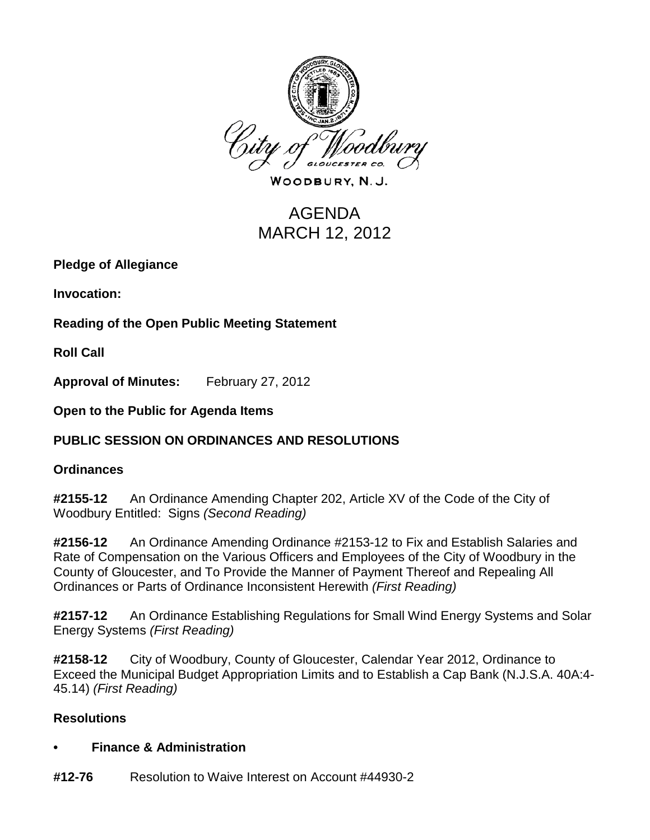

WOODBURY, N.J.

# AGENDA MARCH 12, 2012

**Pledge of Allegiance**

**Invocation:** 

**Reading of the Open Public Meeting Statement**

**Roll Call**

**Approval of Minutes:** February 27, 2012

**Open to the Public for Agenda Items**

# **PUBLIC SESSION ON ORDINANCES AND RESOLUTIONS**

#### **Ordinances**

**#2155-12** An Ordinance Amending Chapter 202, Article XV of the Code of the City of Woodbury Entitled: Signs *(Second Reading)*

**#2156-12** An Ordinance Amending Ordinance #2153-12 to Fix and Establish Salaries and Rate of Compensation on the Various Officers and Employees of the City of Woodbury in the County of Gloucester, and To Provide the Manner of Payment Thereof and Repealing All Ordinances or Parts of Ordinance Inconsistent Herewith *(First Reading)*

**#2157-12** An Ordinance Establishing Regulations for Small Wind Energy Systems and Solar Energy Systems *(First Reading)*

**#2158-12** City of Woodbury, County of Gloucester, Calendar Year 2012, Ordinance to Exceed the Municipal Budget Appropriation Limits and to Establish a Cap Bank (N.J.S.A. 40A:4- 45.14) *(First Reading)*

# **Resolutions**

#### **• Finance & Administration**

**#12-76** Resolution to Waive Interest on Account #44930-2